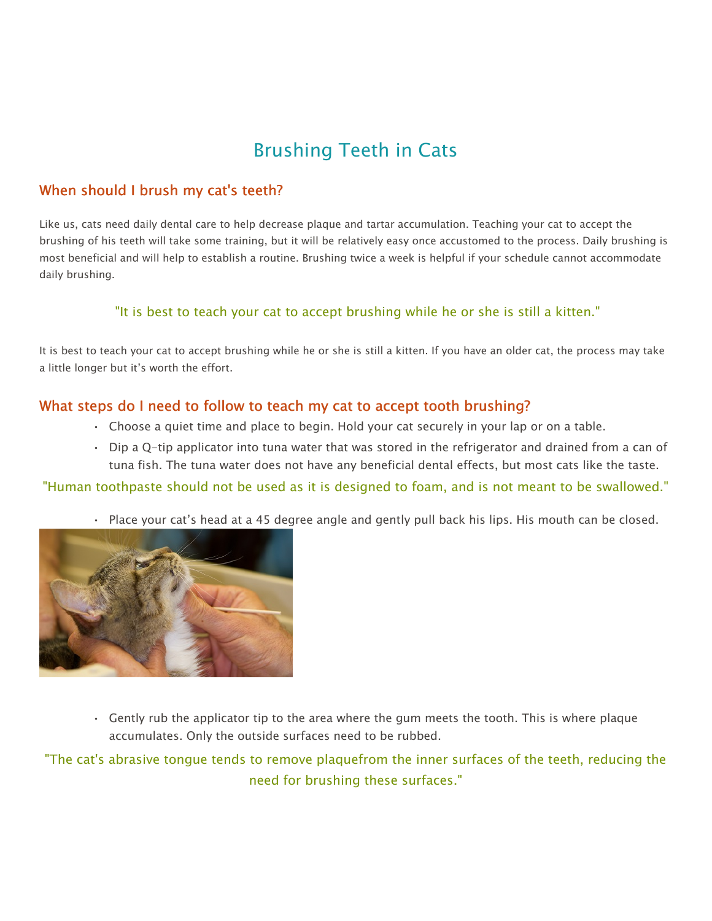## Brushing Teeth in Cats

## When should I brush my cat's teeth?

Like us, cats need daily dental care to help decrease plaque and tartar accumulation. Teaching your cat to accept the brushing of his teeth will take some training, but it will be relatively easy once accustomed to the process. Daily brushing is most beneficial and will help to establish a routine. Brushing twice a week is helpful if your schedule cannot accommodate daily brushing.

## "It is best to teach your cat to accept brushing while he or she is still a kitten."

It is best to teach your cat to accept brushing while he or she is still a kitten. If you have an older cat, the process may take a little longer but it's worth the effort.

## What steps do I need to follow to teach my cat to accept tooth brushing?

- Choose a quiet time and place to begin. Hold your cat securely in your lap or on a table.
- Dip a Q-tip applicator into tuna water that was stored in the refrigerator and drained from a can of tuna fish. The tuna water does not have any beneficial dental effects, but most cats like the taste.

"Human toothpaste should not be used as it is designed to foam, and is not meant to be swallowed."

• Place your cat's head at a 45 degree angle and gently pull back his lips. His mouth can be closed.



• Gently rub the applicator tip to the area where the gum meets the tooth. This is where plaque accumulates. Only the outside surfaces need to be rubbed.

"The cat's abrasive tongue tends to remove plaquefrom the inner surfaces of the teeth, reducing the need for brushing these surfaces."